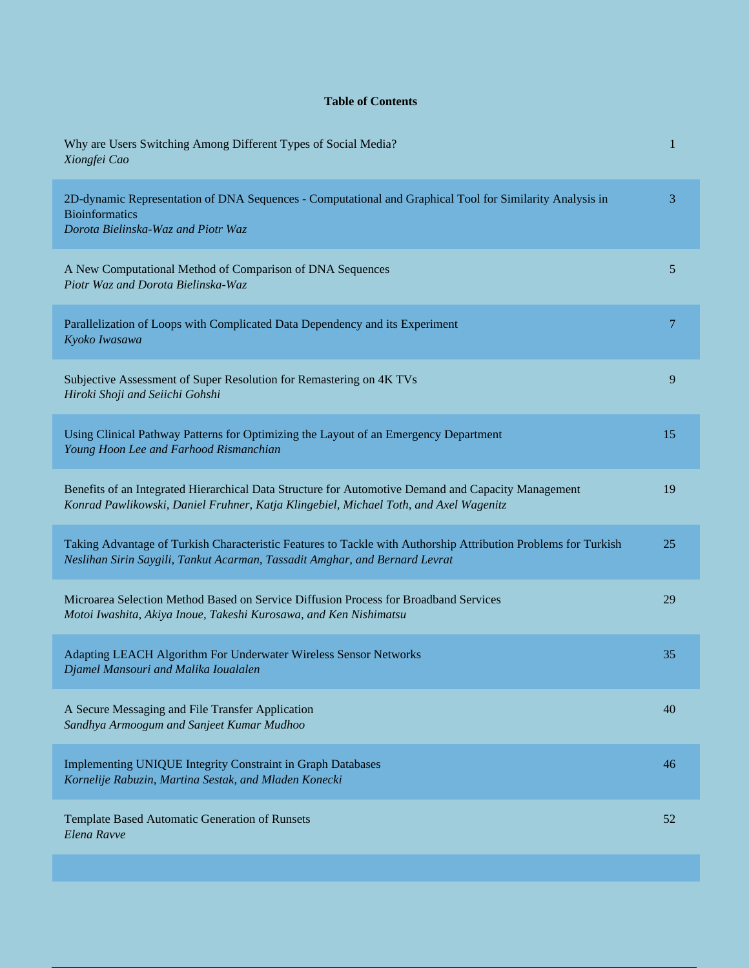## **Table of Contents**

| Why are Users Switching Among Different Types of Social Media?<br>Xiongfei Cao                                                                                                                | 1  |
|-----------------------------------------------------------------------------------------------------------------------------------------------------------------------------------------------|----|
| 2D-dynamic Representation of DNA Sequences - Computational and Graphical Tool for Similarity Analysis in<br><b>Bioinformatics</b><br>Dorota Bielinska-Waz and Piotr Waz                       | 3  |
| A New Computational Method of Comparison of DNA Sequences<br>Piotr Waz and Dorota Bielinska-Waz                                                                                               | 5  |
| Parallelization of Loops with Complicated Data Dependency and its Experiment<br>Kyoko Iwasawa                                                                                                 | 7  |
| Subjective Assessment of Super Resolution for Remastering on 4K TVs<br>Hiroki Shoji and Seiichi Gohshi                                                                                        | 9  |
| Using Clinical Pathway Patterns for Optimizing the Layout of an Emergency Department<br>Young Hoon Lee and Farhood Rismanchian                                                                | 15 |
| Benefits of an Integrated Hierarchical Data Structure for Automotive Demand and Capacity Management<br>Konrad Pawlikowski, Daniel Fruhner, Katja Klingebiel, Michael Toth, and Axel Wagenitz  | 19 |
| Taking Advantage of Turkish Characteristic Features to Tackle with Authorship Attribution Problems for Turkish<br>Neslihan Sirin Saygili, Tankut Acarman, Tassadit Amghar, and Bernard Levrat | 25 |
| Microarea Selection Method Based on Service Diffusion Process for Broadband Services<br>Motoi Iwashita, Akiya Inoue, Takeshi Kurosawa, and Ken Nishimatsu                                     | 29 |
| Adapting LEACH Algorithm For Underwater Wireless Sensor Networks<br>Djamel Mansouri and Malika Ioualalen                                                                                      | 35 |
| A Secure Messaging and File Transfer Application<br>Sandhya Armoogum and Sanjeet Kumar Mudhoo                                                                                                 | 40 |
| <b>Implementing UNIQUE Integrity Constraint in Graph Databases</b><br>Kornelije Rabuzin, Martina Sestak, and Mladen Konecki                                                                   | 46 |
| Template Based Automatic Generation of Runsets<br>Elena Ravve                                                                                                                                 | 52 |